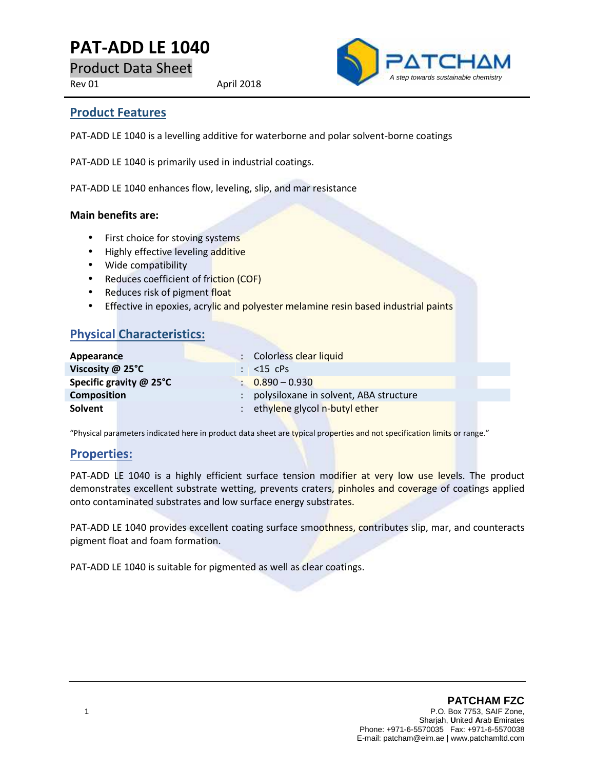# **PAT-ADD LE 1040**

Product Data Sheet

Rev 01 April 2018



#### **Product Features**

PAT-ADD LE 1040 is a levelling additive for waterborne and polar solvent-borne coatings

PAT-ADD LE 1040 is primarily used in industrial coatings.

PAT-ADD LE 1040 enhances flow, leveling, slip, and mar resistance

#### **Main benefits are:**

- First choice for stoving systems
- Highly effective leveling additive
- Wide compatibility
- Reduces coefficient of friction (COF)
- Reduces risk of pigment float
- **Effective in epoxies, acrylic and polyester melamine resin based industrial paints**

## **Physical Characteristics:**

| Appearance              | : Colorless clear liquid                 |  |
|-------------------------|------------------------------------------|--|
| Viscosity $@$ 25 $°C$   | $\therefore$ <15 cPs                     |  |
| Specific gravity @ 25°C | $0.890 - 0.930$                          |  |
| <b>Composition</b>      | : polysiloxane in solvent, ABA structure |  |
| Solvent                 | : ethylene glycol n-butyl ether          |  |

"Physical parameters indicated here in product data sheet are typical properties and not specification limits or range."

#### **Properties:**

PAT-ADD LE 1040 is a highly efficient surface tension modifier at very low use levels. The product demonstrates excellent substrate wetting, prevents craters, pinholes and coverage of coatings applied onto contaminated substrates and low surface energy substrates.

PAT-ADD LE 1040 provides excellent coating surface smoothness, contributes slip, mar, and counteracts pigment float and foam formation.

PAT-ADD LE 1040 is suitable for pigmented as well as clear coatings.